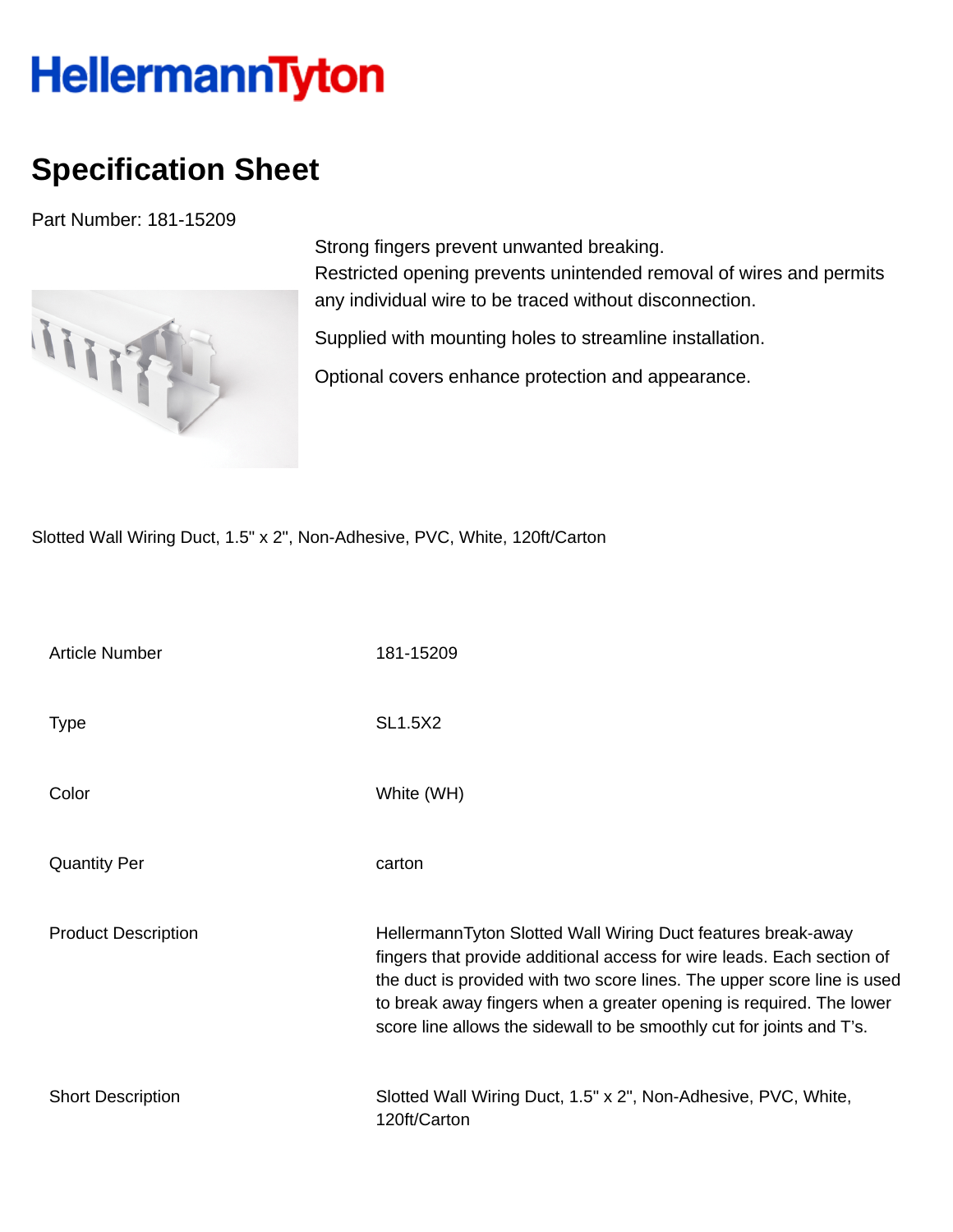## **HellermannTyton**

## **Specification Sheet**

Part Number: 181-15209



Strong fingers prevent unwanted breaking. Restricted opening prevents unintended removal of wires and permits any individual wire to be traced without disconnection.

Supplied with mounting holes to streamline installation.

Optional covers enhance protection and appearance.

Slotted Wall Wiring Duct, 1.5" x 2", Non-Adhesive, PVC, White, 120ft/Carton

| Article Number             | 181-15209                                                                                                                                                                                                                                                                                                                                                         |
|----------------------------|-------------------------------------------------------------------------------------------------------------------------------------------------------------------------------------------------------------------------------------------------------------------------------------------------------------------------------------------------------------------|
| <b>Type</b>                | <b>SL1.5X2</b>                                                                                                                                                                                                                                                                                                                                                    |
| Color                      | White (WH)                                                                                                                                                                                                                                                                                                                                                        |
| <b>Quantity Per</b>        | carton                                                                                                                                                                                                                                                                                                                                                            |
| <b>Product Description</b> | HellermannTyton Slotted Wall Wiring Duct features break-away<br>fingers that provide additional access for wire leads. Each section of<br>the duct is provided with two score lines. The upper score line is used<br>to break away fingers when a greater opening is required. The lower<br>score line allows the sidewall to be smoothly cut for joints and T's. |
| <b>Short Description</b>   | Slotted Wall Wiring Duct, 1.5" x 2", Non-Adhesive, PVC, White,<br>120ft/Carton                                                                                                                                                                                                                                                                                    |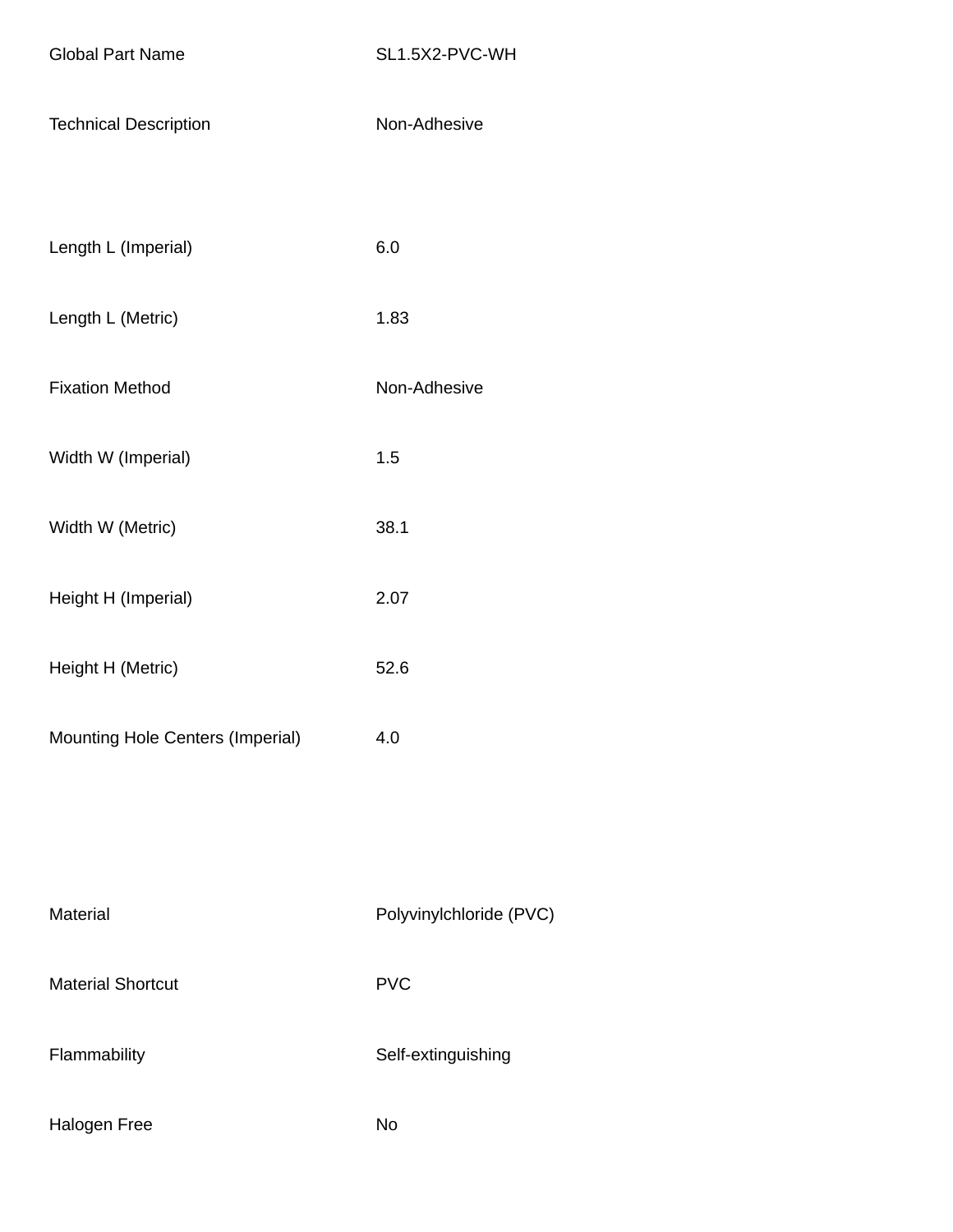- Technical Description Non-Adhesive
- Length L (Imperial) 6.0
- Length L (Metric) 1.83
- Fixation Method Non-Adhesive
- Width W (Imperial) 1.5
- Width W (Metric) 38.1
- Height H (Imperial) 2.07
- Height H (Metric) 52.6
- Mounting Hole Centers (Imperial) 4.0

| Material                 | Polyvinylchloride (PVC) |
|--------------------------|-------------------------|
| <b>Material Shortcut</b> | <b>PVC</b>              |
| Flammability             | Self-extinguishing      |
|                          |                         |

Halogen Free No